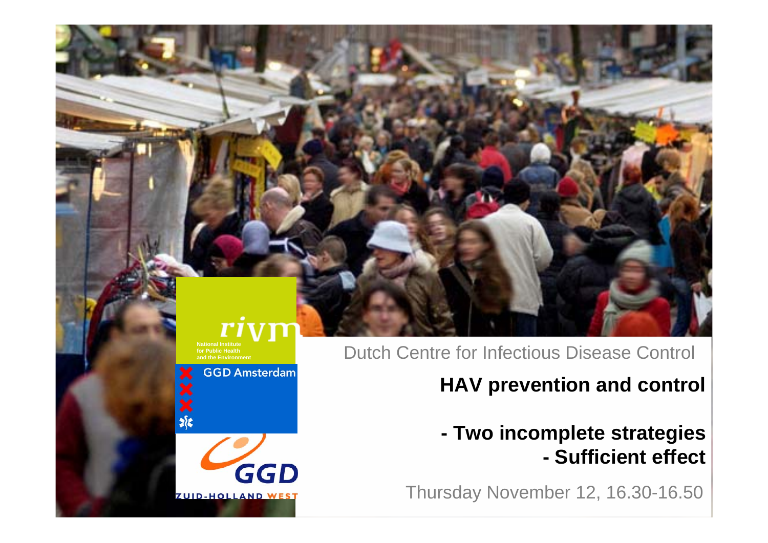#### ris **National Institutefor Public Health**

Dutch Centre for Infectious Disease Control

### **HAV prevention and control**

#### **- Two incomplete strategies - Sufficient effect**

Thursday November 12, 16.30-16.50



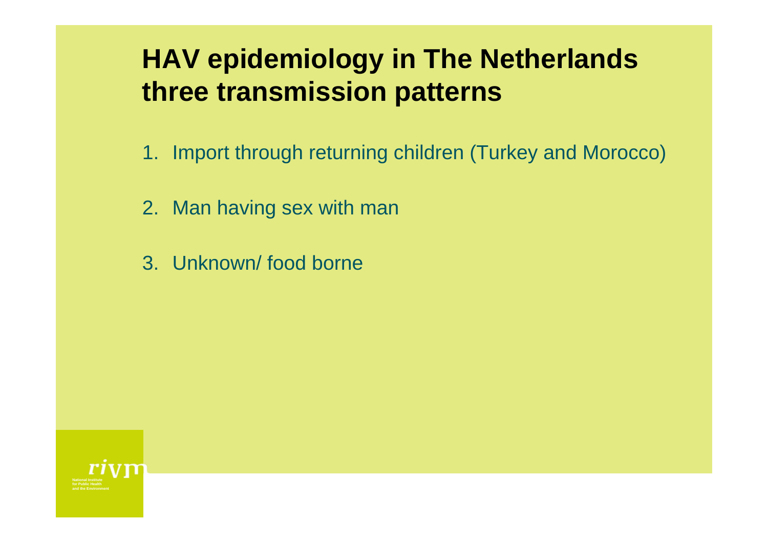# **HAV epidemiology in The Netherlands three transmission patterns**

- 1. Import through returning children (Turkey and Morocco)
- 2. Man having sex with man
- 3. Unknown/ food borne

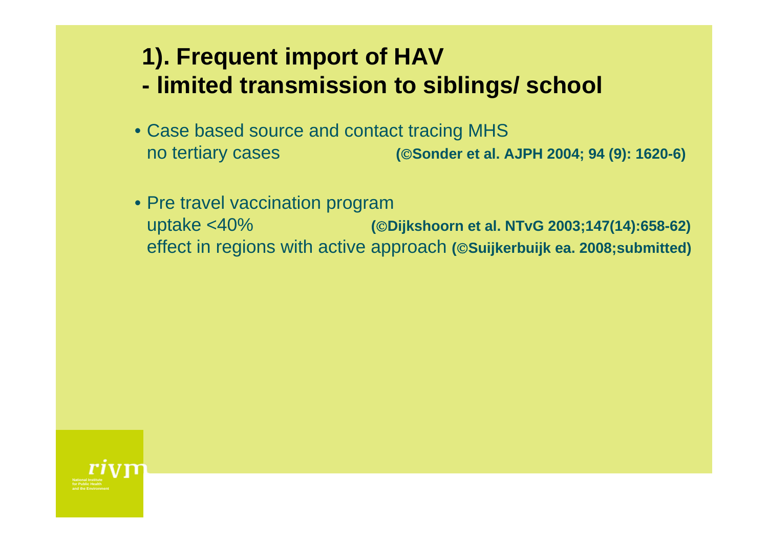## **1). Frequent import of HAV - limited transmission to siblings/ school**

- Case based source and contact tracing MHS no tertiary cases **(**©**Sonder et al. AJPH 2004; 94 (9): 1620-6)**
- Pre travel vaccination program uptake <40% **(**©**Dijkshoorn et al. NTvG 2003;147(14):658-62)**  effect in regions with active approach **(**©**Suijkerbuijk ea. 2008;submitted)**

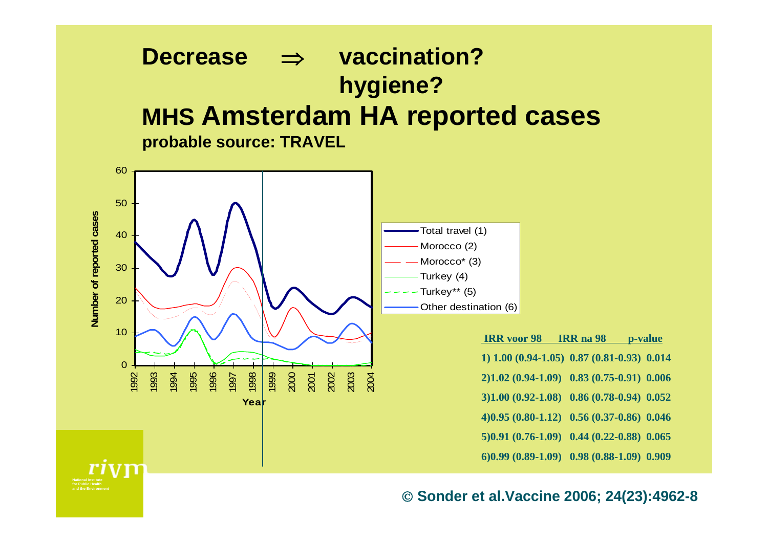#### **Decrease** ⇒ **hygiene? vaccination? MHS Amsterdam HA reported cases probable source: TRAVEL**



**for Public Healthand the Environment**

© **Sonder et al.Vaccine 2006; 24(23):4962-8**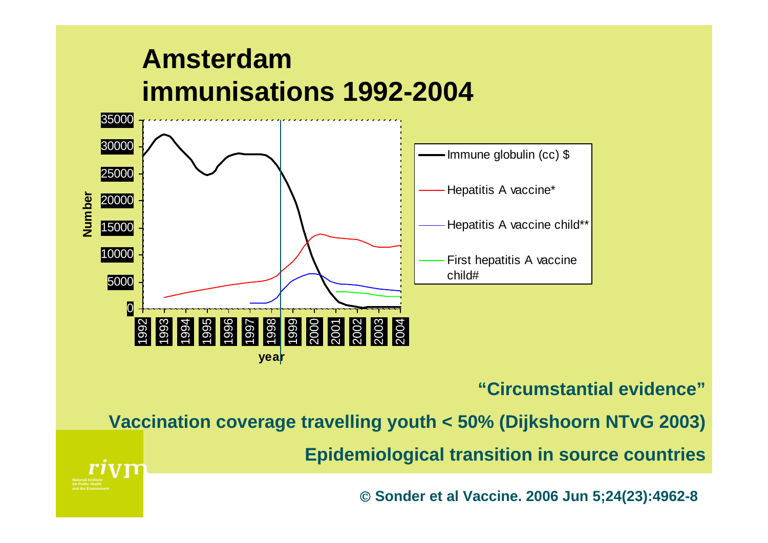# **Amsterdam immunisations 1992-2004**

**for Public Healthand the Environment**



#### **"Circumstantial evidence"**

**Vaccination coverage travelling youth < 50% (Dijkshoorn NTvG 2003)**

**Epidemiological transition in source countries**

© **Sonder et al Vaccine. 2006 Jun 5;24(23):4962-8**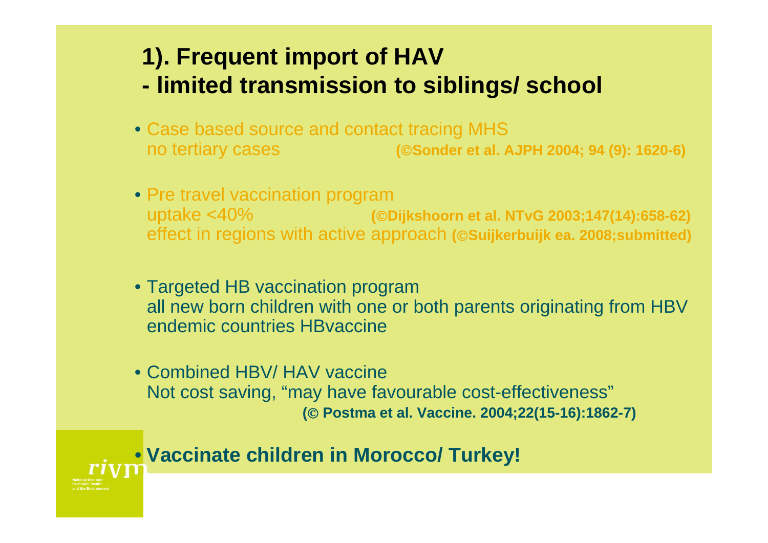## **1). Frequent import of HAV - limited transmission to siblings/ school**

- Case based source and contact tracing MHS no tertiary cases **(**©**Sonder et al. AJPH 2004; 94 (9): 1620-6)**
- Pre travel vaccination program uptake <40% **(**©**Dijkshoorn et al. NTvG 2003;147(14):658-62)**  effect in regions with active approach **(**©**Suijkerbuijk ea. 2008;submitted)**
- Targeted HB vaccination program all new born children with one or both parents originating from HBV endemic countries HBvaccine
- Combined HBV/ HAV vaccine Not cost saving, "may have favourable cost-effectiveness" **(**© **Postma et al. Vaccine. 2004;22(15-16):1862-7)**

#### • **Vaccinate children in Morocco/ Turkey!**

**for Public Healthand the Environment**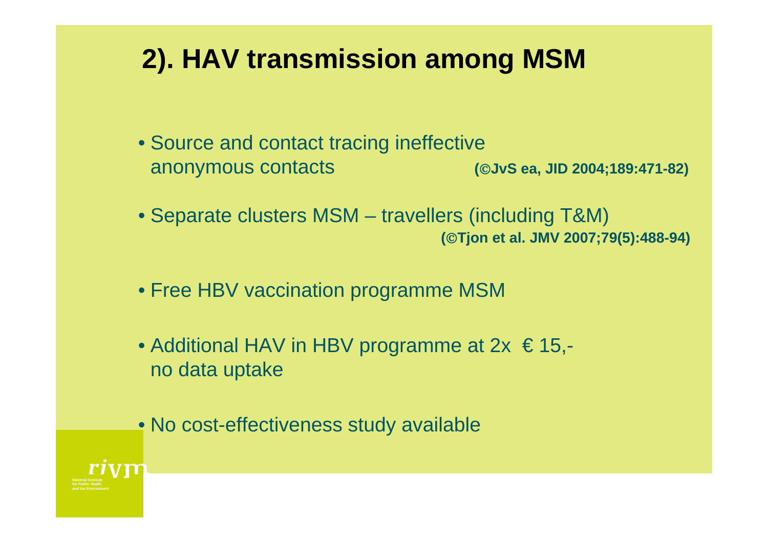# **2). HAV transmission among MSM**

- Source and contact tracing ineffective anonymous contacts **(**©**JvS ea, JID 2004;189:471-82)**
- Separate clusters MSM travellers (including T&M) **(**©**Tjon et al. JMV 2007;79(5):488-94)**
- Free HBV vaccination programme MSM
- Additional HAV in HBV programme at  $2x \le 15$ ,no data uptake
- No cost-effectiveness study available

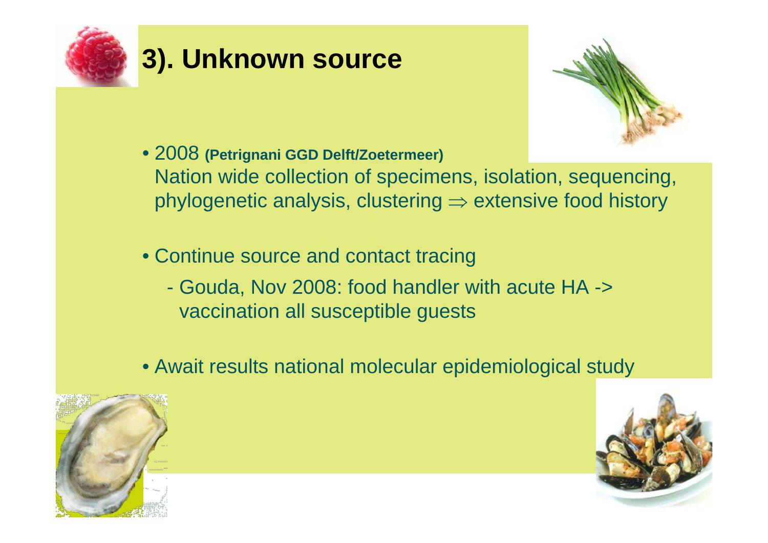

# **3). Unknown source**



- 2008 **(Petrignani GGD Delft/Zoetermeer)**  Nation wide collection of specimens, isolation, sequencing, phylogenetic analysis, clustering  $\Rightarrow$  extensive food history
- Continue source and contact tracing
	- Gouda, Nov 2008: food handler with acute HA -> vaccination all susceptible guests
- Await results national molecular epidemiological study